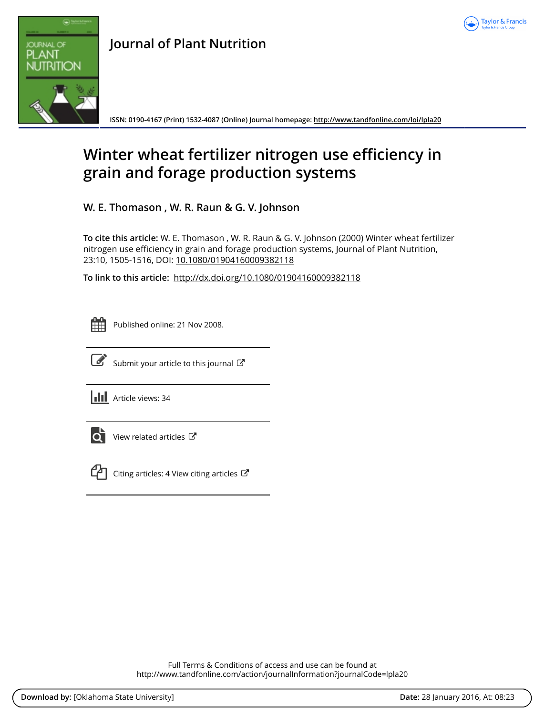



**ISSN: 0190-4167 (Print) 1532-4087 (Online) Journal homepage:<http://www.tandfonline.com/loi/lpla20>**

# **Winter wheat fertilizer nitrogen use efficiency in grain and forage production systems**

**W. E. Thomason , W. R. Raun & G. V. Johnson**

**To cite this article:** W. E. Thomason , W. R. Raun & G. V. Johnson (2000) Winter wheat fertilizer nitrogen use efficiency in grain and forage production systems, Journal of Plant Nutrition, 23:10, 1505-1516, DOI: [10.1080/01904160009382118](http://www.tandfonline.com/action/showCitFormats?doi=10.1080/01904160009382118)

**To link to this article:** <http://dx.doi.org/10.1080/01904160009382118>

| - | _ | <b>Service Service</b> |
|---|---|------------------------|
|   |   |                        |
|   |   |                        |
|   |   |                        |

Published online: 21 Nov 2008.



 $\overline{\mathscr{L}}$  [Submit your article to this journal](http://www.tandfonline.com/action/authorSubmission?journalCode=lpla20&page=instructions)  $\mathbb{Z}$ 

**III** Article views: 34



 $\overrightarrow{Q}$  [View related articles](http://www.tandfonline.com/doi/mlt/10.1080/01904160009382118)  $\overrightarrow{C}$ 



[Citing articles: 4 View citing articles](http://www.tandfonline.com/doi/citedby/10.1080/01904160009382118#tabModule)  $\mathbb{Z}$ 

Full Terms & Conditions of access and use can be found at <http://www.tandfonline.com/action/journalInformation?journalCode=lpla20>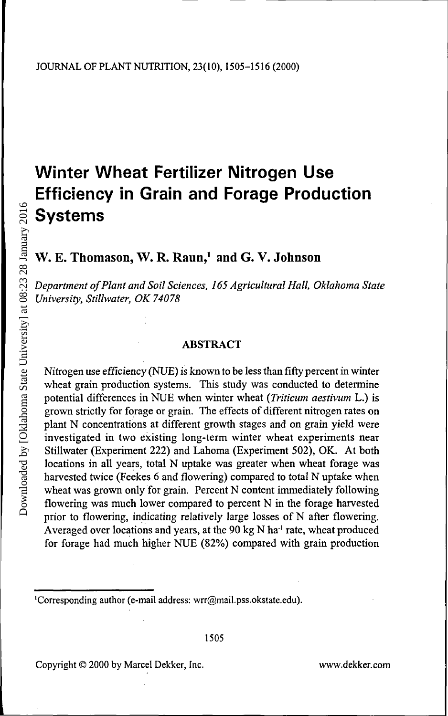## **Winter Wheat Fertilizer Nitrogen Use Efficiency in Grain and Forage Production Systems**

W. E. Thomason, W. R. Raun,<sup>1</sup> and G. V. Johnson

*Department of Plant and Soil Sciences, 165 Agricultural Hall, Oklahoma State University, Stillwater, OK 74078*

#### ABSTRACT

Nitrogen use efficiency (NUE) is known to be less than fifty percent in winter wheat grain production systems. This study was conducted to determine potential differences in NUE when winter wheat (*Triticum aestivum* L.) is grown strictly for forage or grain. The effects of different nitrogen rates on plant N concentrations at different growth stages and on grain yield were investigated in two existing long-term winter wheat experiments near Stillwater (Experiment 222) and Lahoma (Experiment 502), OK. At both locations in all years, total N uptake was greater when wheat forage was harvested twice (Feekes 6 and flowering) compared to total N uptake when wheat was grown only for grain. Percent N content immediately following flowering was much lower compared to percent N in the forage harvested prior to flowering, indicating relatively large losses of N after flowering. Averaged over locations and years, at the 90 kg N ha<sup>-1</sup> rate, wheat produced for forage had much higher NUE (82%) compared with grain production

Copyright © 2000 by Marcel Dekker, Inc. www.dekker.com

<sup>1</sup>Corresponding author (e-mail address: wrr@mail.pss.okstate.edu).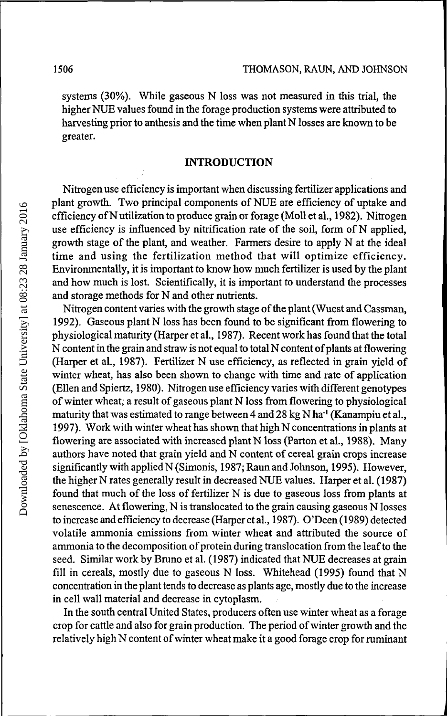systems (30%). While gaseous N loss was not measured in this trial, the higher NUE values found in the forage production systems were attributed to harvesting prior to anthesis and the time when plant N losses are known to be greater.

### **INTRODUCTION**

Nitrogen use efficiency is important when discussing fertilizer applications and plant growth. Two principal components of NUE are efficiency of uptake and efficiency of N utilization to produce grain or forage (Moll et al., 1982). Nitrogen use efficiency is influenced by nitrification rate of the soil, form of N applied, growth stage of the plant, and weather. Farmers desire to apply N at the ideal time and using the fertilization method that will optimize efficiency. Environmentally, it is important to know how much fertilizer is used by the plant and how much is lost. Scientifically, it is important to understand the processes and storage methods for N and other nutrients.

Nitrogen content varies with the growth stage of the plant (Wuest and Cassman, 1992). Gaseous plant N loss has been found to be significant from flowering to physiological maturity (Harper et al., 1987). Recent work has found that the total N content in the grain and straw is not equal to total N content of plants at flowering (Harper et al., 1987). Fertilizer N use efficiency, as reflected in grain yield of winter wheat, has also been shown to change with time and rate of application (Ellen and Spiertz, 1980). Nitrogen use efficiency varies with different genotypes of winter wheat, a result of gaseous plant N loss from flowering to physiological maturity that was estimated to range between 4 and 28 kg N ha<sup>-1</sup> (Kanampiu et al., 1997). Work with winter wheat has shown that high N concentrations in plants at flowering are associated with increased plant N loss (Parton et al., 1988). Many authors have noted that grain yield and N content of cereal grain crops increase significantly with applied N (Simonis, 1987; Raun and Johnson, 1995). However, the higher N rates generally result in decreased NUE values. Harper et al. (1987) found that much of the loss of fertilizer N is due to gaseous loss from plants at senescence. At flowering, N is translocated to the grain causing gaseous N losses to increase and efficiency to decrease (Harper et al., 1987). O'Deen (1989) detected volatile ammonia emissions from winter wheat and attributed the source of ammonia to the decomposition of protein during translocation from the leaf to the seed. Similar work by Bruno et al. (1987) indicated that NUE decreases at grain fill in cereals, mostly due to gaseous N loss. Whitehead (1995) found that N concentration in the plant tends to decrease as plants age, mostly due to the increase in cell wall material and decrease in cytoplasm.

In the south central United States, producers often use winter wheat as a forage crop for cattle and also for grain production. The period of winter growth and the relatively high N content of winter wheat make it a good forage crop for ruminant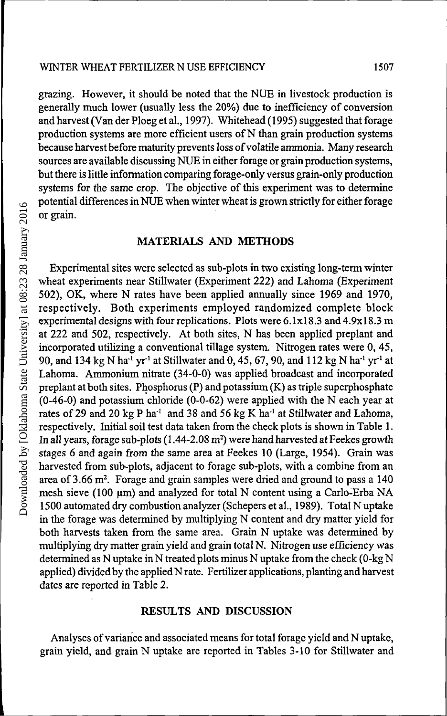grazing. However, it should be noted that the NUE in livestock production is generally much lower (usually less the 20%) due to inefficiency of conversion and harvest (Van der Ploeg et al., 1997). Whitehead (1995) suggested that forage production systems are more efficient users of N than grain production systems because harvest before maturity prevents loss of volatile ammonia. Many research sources are available discussing NUE in either forage or grain production systems, but there is little information comparing forage-only versus grain-only production systems for the same crop. The objective of this experiment was to determine potential differences in NUE when winter wheat is grown strictly for either forage or grain.

#### **MATERIALS AND METHODS**

Experimental sites were selected as sub-plots in two existing long-term winter wheat experiments near Stillwater (Experiment 222) and Lahoma (Experiment 502), OK, where N rates have been applied annually since 1969 and 1970, respectively. Both experiments employed randomized complete block experimental designs with four replications. Plots were 6.1x18.3 and 4.9x18.3 m at 222 and 502, respectively. At both sites, N has been applied preplant and incorporated utilizing a conventional tillage system. Nitrogen rates were 0, 45, 90, and 134 kg N ha<sup>-1</sup> yr<sup>-1</sup> at Stillwater and 0, 45, 67, 90, and 112 kg N ha<sup>-1</sup> yr<sup>-1</sup> at Lahoma. Ammonium nitrate (34-0-0) was applied broadcast and incorporated preplant at both sites. Phosphorus (P) and potassium (K) as triple superphosphate (0-46-0) and potassium chloride (0-0-62) were applied with the N each year at rates of 29 and 20  $kg$  P ha<sup>-1</sup> and 38 and 56  $kg$  K ha<sup>-1</sup> at Stillwater and Lahoma, respectively. Initial soil test data taken from the check plots is shown in Table 1. In all years, forage sub-plots (1.44-2.08  $\mathrm{m}^{2})$  were hand harvested at Feekes growth stages 6 and again from the same area at Feekes 10 (Large, 1954). Grain was harvested from sub-plots, adjacent to forage sub-plots, with a combine from an area of 3.66 m<sup>2</sup>. Forage and grain samples were dried and ground to pass a 140 mesh sieve (100  $\mu$ m) and analyzed for total N content using a Carlo-Erba NA 1500 automated dry combustion analyzer (Schepers et al., 1989). Total N uptake in the forage was determined by multiplying N content and dry matter yield for both harvests taken from the same area. Grain N uptake was determined by multiplying dry matter grain yield and grain total N. Nitrogen use efficiency was determined as N uptake in N treated plots minus N uptake from the check (0-kg N applied) divided by the applied N rate. Fertilizer applications, planting and harvest dates are reported in Table 2.

#### **RESULTS AND DISCUSSION**

Analyses of variance and associated means for total forage yield and N uptake, grain yield, and grain N uptake are reported in Tables 3-10 for Stillwater and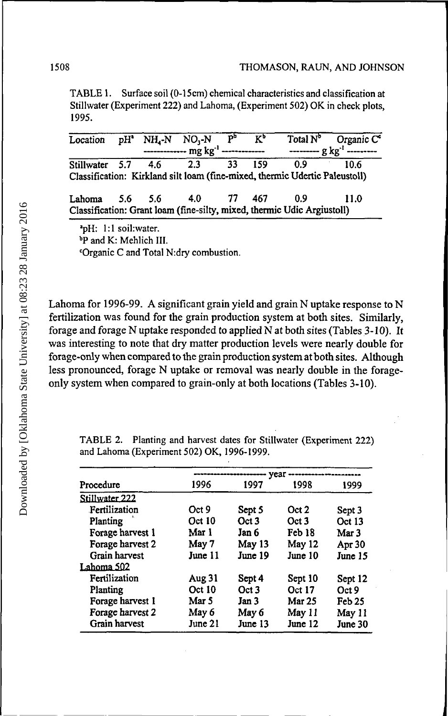TABLE 1. Surface soil (0-15cm) chemical characteristics and classification at Stillwater (Experiment 222) and Lahoma, (Experiment 502) OK in check plots, 1995.

| Location $pH^*$ NH <sub>4</sub> -N NO <sub>3</sub> -N |         | ------------- mg kg <sup>-1</sup> ------------- | $\mathbf{b}_p$ | $K_p$      | --------- g kg <sup>-1</sup> ---------                                             | Total $N^b$ Organic C <sup>o</sup> |
|-------------------------------------------------------|---------|-------------------------------------------------|----------------|------------|------------------------------------------------------------------------------------|------------------------------------|
| Stillwater 5.7 4.6                                    |         | $2.\overline{3}$                                | 33             | 159        | 0.9<br>Classification: Kirkland silt loam (fine-mixed, thermic Udertic Paleustoll) | 10.6                               |
| Lahoma                                                | 5.6 5.6 | $-4.0$                                          |                | - 77 - 467 | 0.9<br>Classification: Grant loam (fine-silty, mixed, thermic Udic Argiustoll)     | -11.0                              |

<sup>a</sup>pH: 1:1 soil:water. »P and K: Mehlich III. <sup>c</sup>Organic C and Total N:dry combustion.

Lahoma for 1996-99. A significant grain yield and grain N uptake response to N fertilization was found for the grain production system at both sites. Similarly, forage and forage N uptake responded to applied N at both sites (Tables 3-10). It was interesting to note that dry matter production levels were nearly double for forage-only when compared to the grain production system at both sites. Although less pronounced, forage N uptake or removal was nearly double in the forageonly system when compared to grain-only at both locations (Tables 3-10).

- year -Procedure 1996 1997 1998 1999 **Stillwater 222** Fertilization Oct<sub>9</sub> Sept 5 Oct<sub>2</sub> Sept 3 Planting Oct 10 Oct<sub>3</sub> Oct<sub>3</sub> Oct 13 Forage harvest 1 Mar 1 Jan 6 Feb 18 Mar 3 May 13 Forage harvest 2 May 7 May 12 Apr 30 Grain harvest June 11 June 19 June 10 June 15 **T.ahotna 502** Fertilization Aug31 Sept 4 Sept 10 Sept 12 Oct 10 Oct<sub>3</sub> Planting Oct 17 Oct<sub>9</sub> Forage harvest 1 Mar 5 Jan 3 Mar 25 Feb<sub>25</sub> Forage harvest 2 May 6 May 6 May 11 May 11 Grain harvest June 21 June 13 June 12 June 30

TABLE 2. Planting and harvest dates for Stillwater (Experiment 222) and Lahoma (Experiment 502) OK, 1996-1999.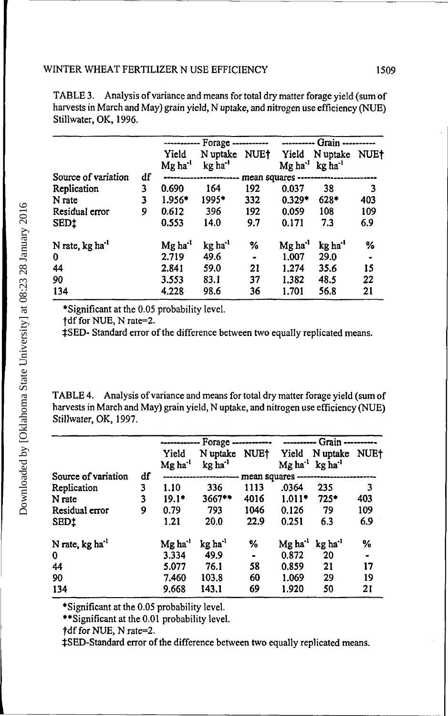|                             | Forage -----------<br>----------- |                              |                                 |              | ---------- Grain    |                                                                        |     |
|-----------------------------|-----------------------------------|------------------------------|---------------------------------|--------------|---------------------|------------------------------------------------------------------------|-----|
|                             |                                   | Yield<br>Mg ha <sup>-1</sup> | N uptake<br>kg ha <sup>-1</sup> | NUE†         | Yield               | N uptake NUE <sup>+</sup><br>$Mg$ ha <sup>-1</sup> kg ha <sup>-1</sup> |     |
| Source of variation         | df                                |                              |                                 | mean squares |                     |                                                                        |     |
| Replication                 | 3                                 | 0.690                        | 164                             | 192          | 0.037               | 38                                                                     | 3   |
| N rate                      | 3                                 | $1.956*$                     | 1995*                           | 332          | $0.329*$            | $628*$                                                                 | 403 |
| Residual error              | 9                                 | 0.612                        | 396                             | 192          | 0.059               | 108                                                                    | 109 |
| SED <sub>1</sub>            |                                   | 0.553                        | 14.0                            | 9.7          | 0.171               | 7.3                                                                    | 6.9 |
| N rate, kg ha <sup>-1</sup> |                                   | $Mg$ ha <sup>-1</sup>        | kg ha <sup>-1</sup>             | %            | Mg ha <sup>-1</sup> | kg ha <sup>-1</sup>                                                    | %   |
| $\bf{0}$                    |                                   | 2.719                        | 49.6                            |              | 1.007               | 29.0                                                                   |     |
| 44                          |                                   | 2.841                        | 59.0                            | 21           | 1.274               | 35.6                                                                   | 15  |
| 90                          |                                   | 3.553                        | 83.1                            | 37           | 1.382               | 48.5                                                                   | 22  |
| 134                         |                                   | 4.228                        | 98.6                            | 36           | 1.701               | 56.8                                                                   | 21  |

TABLE 3. Analysis of variance and means for total dry matter forage yield (sum of harvests in March and May) grain yield, N uptake, and nitrogen use efficiency (NUE) Stillwater, OK, 1996.

•Significant at the 0.05 probability level.

†df for NUE, N rate=2.

\$SED- Standard error of the difference between two equally replicated means.

TABLE 4. Analysis of variance and means for total dry matter forage yield (sum of harvests in March and May) grain yield, N uptake, and nitrogen use efficiency (NUE) Stillwater, OK, 1997.

|                             |    |                              | ----------- Forage ------------ |                |                                | ---------- Grain ----------     |             |
|-----------------------------|----|------------------------------|---------------------------------|----------------|--------------------------------|---------------------------------|-------------|
|                             |    | Yield<br>Mg ha <sup>-1</sup> | N uptake<br>kg ha <sup>-1</sup> | <b>NUET</b>    | Yield<br>$Mg$ ha <sup>-1</sup> | N uptake<br>kg ha <sup>-1</sup> | <b>NUE+</b> |
| Source of variation         | df |                              |                                 |                | mean squares ---------------   |                                 |             |
| Replication                 | 3  | 1.10                         | 336                             | 1113           | .0364                          | 235                             | 3           |
| N rate                      | 3  | $19.1*$                      | 3667**                          | 4016           | $1.011*$                       | $725*$                          | 403         |
| Residual error              | 9  | 0.79                         | 793                             | 1046           | 0.126                          | 79                              | 109         |
| <b>SED1</b>                 |    | 1.21                         | 20.0                            | 22.9           | 0.251                          | 6.3                             | 6.9         |
| N rate, kg ha <sup>-1</sup> |    | Mg ha''                      | kg ha <sup>-1</sup>             | ℅              | Mg ha <sup>-1</sup>            | kg ha'                          | %           |
| $\bf{0}$                    |    | 3.334                        | 49.9                            | $\blacksquare$ | 0.872                          | 20                              | $\bullet$   |
| 44                          |    | 5.077                        | 76.1                            | 58             | 0.859                          | 21                              | 17          |
| 90                          |    | 7.460                        | 103.8                           | 60             | 1.069                          | 29                              | 19          |
| 134                         |    | 9.668                        | 143.1                           | 69             | 1.920                          | 50                              | 21          |

•Significant at the 0.05 probability level.

»»Significant at the 0.01 probability level.

tSED-Standard error of the difference between two equally replicated means.

 $\dagger$ df for NUE, N rate=2.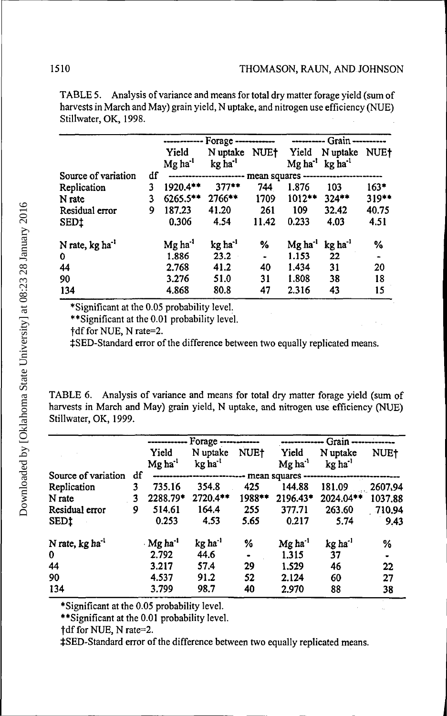|                             |    |                                | Forage ------------             |                 |                                | ---------- Grain -----               |         |
|-----------------------------|----|--------------------------------|---------------------------------|-----------------|--------------------------------|--------------------------------------|---------|
|                             |    | Yield<br>$Mg$ ha <sup>-1</sup> | N uptake<br>kg ha <sup>-1</sup> | <b>NUE+</b>     | Yield<br>$Mg$ ha <sup>-1</sup> | N uptake NUE+<br>kg ha <sup>-1</sup> |         |
| Source of variation         | df |                                |                                 | mean squares -- |                                |                                      |         |
| Replication                 | 3  | 1920.4**                       | $377**$                         | 744             | 1.876                          | 103                                  | $163*$  |
| N rate                      | 3  | $6265.5***$                    | 2766**                          | 1709            | $1012***$                      | $324**$                              | $319**$ |
| Residual error              | 9  | 187.23                         | 41.20                           | 261             | 109                            | 32.42                                | 40.75   |
| <b>SEDI</b>                 |    | 0.306                          | 4.54                            | 11.42           | 0.233                          | 4.03                                 | 4.51    |
| N rate, kg ha <sup>-1</sup> |    | Mg ha <sup>-1</sup>            | kg ha <sup>-1</sup>             | %               | $Mg$ ha <sup>-1</sup>          | kg ha <sup>-1</sup>                  | %       |
| 0                           |    | 1.886                          | 23.2                            |                 | 1.153                          | 22                                   |         |
| 44                          |    | 2.768                          | 41.2                            | 40              | 1.434                          | 31                                   | 20      |
| 90                          |    | 3.276                          | 51.0                            | 31              | 1.808                          | 38                                   | 18      |
| 134                         |    | 4.868                          | 80.8                            | 47              | 2.316                          | 43                                   | 15      |

TABLE 5. Analysis of variance and means for total dry matter forage yield (sum of harvests in March and May) grain yield, N uptake, and nitrogen use efficiency (NUE) Stillwater, OK, 1998.

\*Significant at the 0.05 probability level.

\*\* Significant at the 0.01 probability level.

†df for NUE, N rate=2.

‡SED-Standard error of the difference between two equally replicated means.

TABLE 6. Analysis of variance and means for total dry matter forage yield (sum of harvests in March and May) grain yield, N uptake, and nitrogen use efficiency (NUE) Stillwater, OK, 1999.

|                             |    |                                | Forage ------------             |             |                                | ------------- Grain ------------- |             |
|-----------------------------|----|--------------------------------|---------------------------------|-------------|--------------------------------|-----------------------------------|-------------|
|                             |    | Yield<br>$Mg$ ha <sup>-1</sup> | N uptake<br>kg ha <sup>-1</sup> | <b>NUE†</b> | Yield<br>$Mg$ ha <sup>-1</sup> | N uptake<br>kg ha <sup>-1</sup>   | <b>NUE†</b> |
| Source of variation         | df |                                |                                 |             | mean squares                   |                                   |             |
| Replication                 | 3  | 735.16                         | 354.8                           | 425         | 144.88                         | 181.09                            | 2607,94     |
| N rate                      | 3  | 2288.79*                       | $2720.4**$                      | 1988**      | 2196.43*                       | 2024.04**                         | 1037.88     |
| Residual error              | 9  | 514.61                         | 164.4                           | 255         | 377.71                         | 263.60                            | -710.94     |
| SED <sub>1</sub>            |    | 0.253                          | 4.53                            | 5.65        | 0.217                          | 5.74                              | 9.43        |
| N rate, kg ha <sup>-1</sup> |    | $\cdot$ Mg ha <sup>-1</sup>    | kg ha <sup>-1</sup>             | %           | $Mg$ ha <sup>-1</sup>          | $kg$ ha <sup>-1</sup>             | %           |
| $\mathbf{0}$                |    | 2.792                          | 44.6                            |             | 1.315                          | 37                                | ۰           |
| 44                          |    | 3.217                          | 57.4                            | 29          | 1.529                          | 46                                | 22          |
| 90                          |    | 4.537                          | 91.2                            | 52          | 2.124                          | 60                                | 27          |
| 134                         |    | 3.799                          | 98.7                            | 40          | 2.970                          | 88                                | 38          |

\*Significant at the 0.05 probability level.

\*\* Significant at the 0.01 probability level.

‡SED-Standard error of the difference between two equally replicated means.

<sup>†</sup>df for NUE, N rate=2.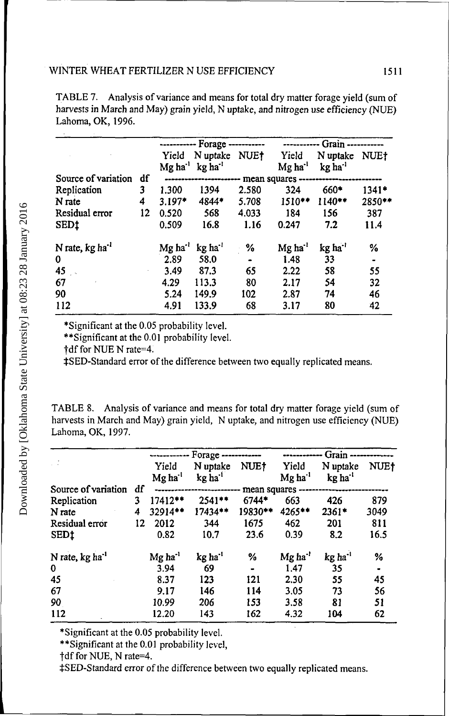|                               |    |                       | ----------- Forage ----------- |       | - Grain ---         |                     |                |  |
|-------------------------------|----|-----------------------|--------------------------------|-------|---------------------|---------------------|----------------|--|
|                               |    | Yield                 | N uptake                       | NUE†  | Yield               | N uptake NUE†       |                |  |
|                               |    | $Mg$ ha $^{-1}$       | $kg$ ha <sup>-1</sup>          |       | Mg ha <sup>-1</sup> | kg ha <sup>-1</sup> |                |  |
| Source of variation           | df |                       |                                |       | mean squares -      |                     |                |  |
| Replication                   | 3  | 1.300                 | 1394                           | 2.580 | 324                 | 660*                | $1341*$        |  |
| N rate                        | 4  | 3.197*                | 4844*                          | 5.708 | $1510**$            | $1140**$            | 2850**         |  |
| Residual error                | 12 | 0.520                 | 568                            | 4.033 | 184                 | 156                 | 387            |  |
| SED <sub>1</sub>              |    | 0.509                 | 16.8                           | 1.16  | 0.247               | 7.2                 | 11.4           |  |
| N rate, $kg$ ha <sup>-1</sup> |    | $Mg$ ha <sup>-1</sup> | kg ha <sup>-1</sup>            | %     | Mg ha <sup>-1</sup> | kg ha <sup>-1</sup> | %              |  |
| 0                             |    | 2.89                  | 58.0                           |       | 1.48                | 33                  | $\blacksquare$ |  |
| 45                            |    | 3.49                  | 87.3                           | 65    | 2.22                | 58                  | 55             |  |
| 67                            |    | 4.29                  | 113.3                          | 80    | 2.17                | 54                  | 32             |  |
| 90                            |    | 5.24                  | 149.9                          | 102   | 2.87                | 74                  | 46             |  |
| 112                           |    | 4.91                  | 133.9                          | 68    | 3.17                | 80                  | 42             |  |
|                               |    |                       |                                |       |                     |                     |                |  |

TABLE 7. Analysis of variance and means for total dry matter forage yield (sum of harvests in March and May) grain yield, N uptake, and nitrogen use efficiency (NUE) Lahoma, OK, 1996.

\*Significant at the 0.05 probability level.

••Significant at the 0.01 probability level.

|dfforNUENrate=4.

tSED-Standard error of the difference between two equally replicated means.

TABLE 8. Analysis of variance and means for total dry matter forage yield (sum of harvests in March and May) grain yield, N uptake, and nitrogen use efficiency (NUE) Lahoma, OK, 1997.

|                             |    |                                | Forage ------------             |              |                              | Grain -------------             |      |
|-----------------------------|----|--------------------------------|---------------------------------|--------------|------------------------------|---------------------------------|------|
| τź                          |    | Yield<br>$Mg$ ha <sup>-1</sup> | N uptake<br>kg ha <sup>-1</sup> | NUE†         | Yield<br>Mg ha <sup>-1</sup> | N uptake<br>kg ha <sup>-1</sup> | NUE† |
| Source of variation         | df |                                |                                 | mean squares |                              |                                 |      |
| Replication                 | 3  | 17412**                        | 2541 **                         | 6744*        | 663                          | 426                             | 879  |
| N rate                      | 4  | 32914**                        | 17434 **                        | 19830**      | 4265**                       | $2361*$                         | 3049 |
| Residual error              | 12 | 2012                           | 344                             | 1675         | 462                          | 201                             | 811  |
| SEDt                        |    | 0.82                           | 10.7                            | 23.6         | 0.39                         | 8.2                             | 16.5 |
| N rate, kg ha <sup>-1</sup> |    | $Mg$ ha <sup>-1</sup>          | kg ha' <sup>i</sup>             | %            | $Mg$ ha <sup>-1</sup>        | kg ha <sup>-1</sup>             | %    |
| 0                           |    | 3.94                           | 69                              | ٠            | 1.47                         | 35                              | ۰    |
| 45                          |    | 8.37                           | 123                             | 121          | 2.30                         | 55                              | 45   |
| 67                          |    | 9.17                           | 146                             | 114          | 3.05                         | 73                              | 56   |
| 90                          |    | 10.99                          | 206                             | 153          | 3.58                         | 81                              | 51   |
| 112                         |    | 12.20                          | 143                             | 162          | 4.32                         | 104                             | 62   |

•Significant at the 0.05 probability level.

••Significant at the 0.01 probability level,

†df for NUE, N rate=4.

tSED-Standard error of the difference between two equally replicated means.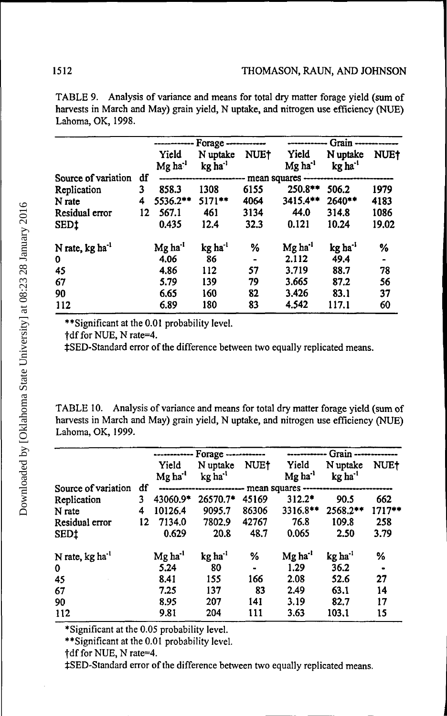|                             |    | ------------                 | $For age \dots \dots \dots$       |              |                                | ------------ Grain -------------  |             |  |  |
|-----------------------------|----|------------------------------|-----------------------------------|--------------|--------------------------------|-----------------------------------|-------------|--|--|
|                             |    | Yield<br>Mg ha <sup>-1</sup> | N uptake<br>$kg$ ha <sup>-1</sup> | <b>NUE†</b>  | Yield<br>$Mg$ ha <sup>-1</sup> | N uptake<br>$kg$ ha <sup>-1</sup> | <b>NUE†</b> |  |  |
| Source of variation         | df |                              |                                   | mean squares |                                |                                   |             |  |  |
| Replication                 | 3  | 858.3                        | 1308                              | 6155         | 250.8**                        | 506.2                             | 1979        |  |  |
| N rate                      | 4  | 5536.2**                     | $5171***$                         | 4064         | 3415.4**                       | $2640**$                          | 4183        |  |  |
| Residual error              | 12 | 567.1                        | 461                               | 3134         | 44.0                           | 314.8                             | 1086        |  |  |
| SED <sub>1</sub>            |    | 0.435                        | 12.4                              | 32.3         | 0.121                          | 10.24                             | 19.02       |  |  |
| N rate, kg ha <sup>-1</sup> |    | Mg ha <sup>-1</sup>          | $kg$ ha <sup>-1</sup>             | %            | Mg ha'                         | kg ha <sup>-1</sup>               | %           |  |  |
| 0                           |    | 4.06                         | 86                                |              | 2.112                          | 49.4                              |             |  |  |
| 45                          |    | 4.86                         | 112                               | 57           | 3.719                          | 88.7                              | 78          |  |  |
| 67                          |    | 5.79                         | 139                               | 79           | 3.665                          | 87.2                              | 56          |  |  |
| 90                          |    | 6.65                         | 160                               | 82           | 3.426                          | 83.1                              | 37          |  |  |
| 112                         |    | 6.89                         | 180                               | 83           | 4.542                          | 117.1                             | 60          |  |  |

TABLE 9. Analysis of variance and means for total dry matter forage yield (sum of harvests in March and May) grain yield, N uptake, and nitrogen use efficiency (NUE) Lahoma, OK, 1998.

\*\* Significant at the 0.01 probability level.

†df for NUE, N rate=4.

‡SED-Standard error of the difference between two equally replicated means.

TABLE 10. Analysis of variance and means for total dry matter forage yield (sum of harvests in March and May) grain yield, N uptake, and nitrogen use efficiency (NUE) Lahoma, OK, 1999.

|                             |    |                              | ------------ Forage ----------- |             |                                | Grain --------------              |             |
|-----------------------------|----|------------------------------|---------------------------------|-------------|--------------------------------|-----------------------------------|-------------|
|                             |    | Yield<br>Mg ha <sup>-1</sup> | N uptake<br>kg ha <sup>-1</sup> | <b>NUE†</b> | Yield<br>$Mg$ ha <sup>-1</sup> | N uptake<br>$kg$ ha <sup>-1</sup> | <b>NUE†</b> |
| Source of variation         | df |                              | *************************       |             | mean squares ----              |                                   |             |
| Replication                 | 3  | 43060.9*                     | 26570.7*                        | 45169       | $312.2*$                       | 90.5                              | 662         |
| N rate                      | 4  | 10126.4                      | 9095.7                          | 86306       | 3316.8**                       | $2568.2***$                       | $1717**$    |
| Residual error              | 12 | 7134.0                       | 7802.9                          | 42767       | 76.8                           | 109.8                             | 258         |
| SED‡                        |    | 0.629                        | 20.8                            | 48.7        | 0.065                          | 2.50                              | 3.79        |
| N rate, kg ha <sup>-1</sup> |    | $Mg$ ha <sup>-1</sup>        | kg ha <sup>-1</sup>             | %           | Mg ha <sup>-1</sup>            | kg ha <sup>-1</sup>               | %           |
| 0                           |    | 5.24                         | 80                              |             | 1.29                           | 36.2                              |             |
| 45                          |    | 8.41                         | 155                             | 166         | 2.08                           | 52.6                              | 27          |
| 67                          |    | 7.25                         | 137                             | 83          | 2.49                           | 63.1                              | 14          |
| 90                          |    | 8.95                         | 207                             | 141         | 3.19                           | 82.7                              | 17          |
| 112                         |    | 9.81                         | 204                             | 111         | 3.63                           | 103.1                             | 15          |

\*Significant at the 0.05 probability level.

\*\* Significant at the 0.01 probability level.

†df for NUE, N rate=4.

‡SED-Standard error of the difference between two equally replicated means.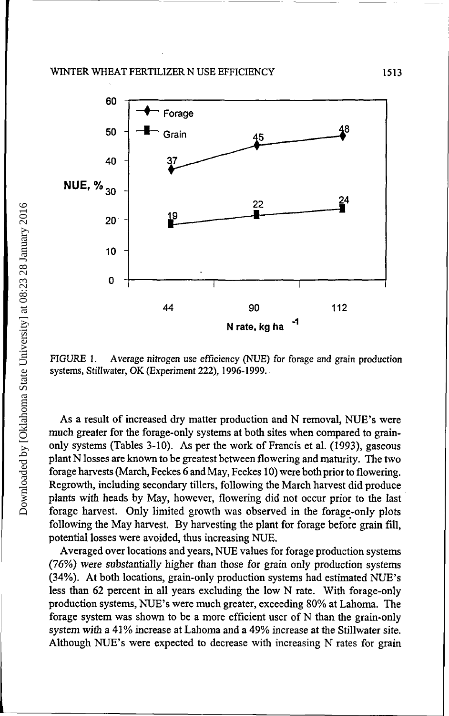

FIGURE 1. Average nitrogen use efficiency (NUE) for forage and grain production systems, Stillwater, OK (Experiment 222), 1996-1999.

As a result of increased dry matter production and N removal, NUE's were much greater for the forage-only systems at both sites when compared to grainonly systems (Tables 3-10). As per the work of Francis et al. (1993), gaseous plant N losses are known to be greatest between flowering and maturity. The two forage harvests (March, Feekes 6 and May, Feekes 10) were both prior to flowering. Regrowth, including secondary tillers, following the March harvest did produce plants with heads by May, however, flowering did not occur prior to the last forage harvest. Only limited growth was observed in the forage-only plots following the May harvest. By harvesting the plant for forage before grain fill, potential losses were avoided, thus increasing NUE.

Averaged over locations and years, NUE values for forage production systems (76%) were substantially higher than those for grain only production systems (34%). At both locations, grain-only production systems had estimated NUE's less than 62 percent in all years excluding the low N rate. With forage-only production systems, NUE's were much greater, exceeding 80% at Lahoma. The forage system was shown to be a more efficient user of N than the grain-only system with a 41% increase at Lahoma and a 49% increase at the Stillwater site. Although NUE's were expected to decrease with increasing N rates for grain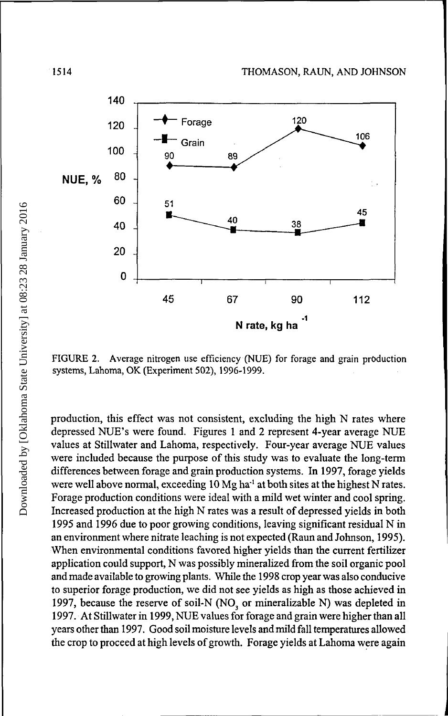

FIGURE 2. Average nitrogen use efficiency (NUE) for forage and grain production systems, Lahoma, OK (Experiment 502), 1996-1999.

production, this effect was not consistent, excluding the high N rates where depressed NUE's were found. Figures 1 and 2 represent 4-year average NUE values at Stillwater and Lahoma, respectively. Four-year average NUE values were included because the purpose of this study was to evaluate the long-term differences between forage and grain production systems. In 1997, forage yields were well above normal, exceeding  $10$  Mg ha<sup>-1</sup> at both sites at the highest N rates. Forage production conditions were ideal with a mild wet winter and cool spring. Increased production at the high N rates was a result of depressed yields in both 1995 and 1996 due to poor growing conditions, leaving significant residual N in an environment where nitrate leaching is not expected (Raun and Johnson, 1995). When environmental conditions favored higher yields than the current fertilizer application could support, N was possibly mineralized from the soil organic pool and made available to growing plants. While the 1998 crop year was also conducive to superior forage production, we did not see yields as high as those achieved in 1997, because the reserve of soil-N (NO<sub>3</sub> or mineralizable N) was depleted in 1997. At Stillwater in 1999, NUE values for forage and grain were higher than all years other than 1997. Good soil moisture levels and mild fall temperatures allowed the crop to proceed at high levels of growth. Forage yields at Lahoma were again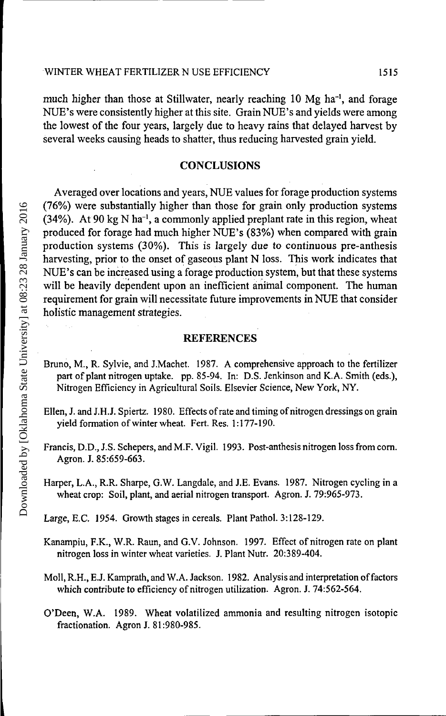much higher than those at Stillwater, nearly reaching 10 Mg ha<sup>-1</sup>, and forage NUE's were consistently higher at this site. Grain NUE's and yields were among the lowest of the four years, largely due to heavy rains that delayed harvest by several weeks causing heads to shatter, thus reducing harvested grain yield.

#### **CONCLUSIONS**

Averaged over locations and years, NUE values for forage production systems (76%) were substantially higher than those for grain only production systems  $(34%)$ . At 90 kg N ha<sup>-1</sup>, a commonly applied preplant rate in this region, wheat produced for forage had much higher NUE's (83%) when compared with grain production systems (30%). This is largely due to continuous pre-anthesis harvesting, prior to the onset of gaseous plant N loss. This work indicates that NUE's can be increased using a forage production system, but that these systems will be heavily dependent upon an inefficient animal component. The human requirement for grain will necessitate future improvements in NUE that consider holistic management strategies.

#### **REFERENCES**

- Bruno, M., R. Sylvie, and J.Machet. 1987. A comprehensive approach to the fertilizer part of plant nitrogen uptake, pp. 85-94. In: D.S. Jenkinson and K.A. Smith (eds.), Nitrogen Efficiency in Agricultural Soils. Elsevier Science, New York, NY.
- Ellen, J. and J.H.J. Spiertz. 1980. Effects of rate and timing of nitrogen dressings on grain yield formation of winter wheat. Fert. Res. 1:177-190.
- Francis, D.D., J.S. Schepers, and M.F. Vigil. 1993. Post-anthesis nitrogen loss from corn. Agron. J. 85:659-663.
- Harper, L.A., R.R. Sharpe, G.W. Langdale, and J.E. Evans. 1987. Nitrogen cycling in a wheat crop: Soil, plant, and aerial nitrogen transport. Agron. J. 79:965-973.
- Large, E.C. 1954. Growth stages in cereals. Plant Pathol. 3:128-129.
- Kanampiu, F.K., W.R. Raun, and G.V. Johnson. 1997. Effect of nitrogen rate on plant nitrogen loss in winter wheat varieties. J. Plant Nutr. 20:389-404.
- Moll, R.H., E.J. Kamprath, and W. A. Jackson. 1982. Analysis and interpretation of factors which contribute to efficiency of nitrogen utilization. Agron. J. 74:562-564.
- O'Deen, W.A. 1989. Wheat volatilized ammonia and resulting nitrogen isotopic fractionation. Agron J. 81:980-985.